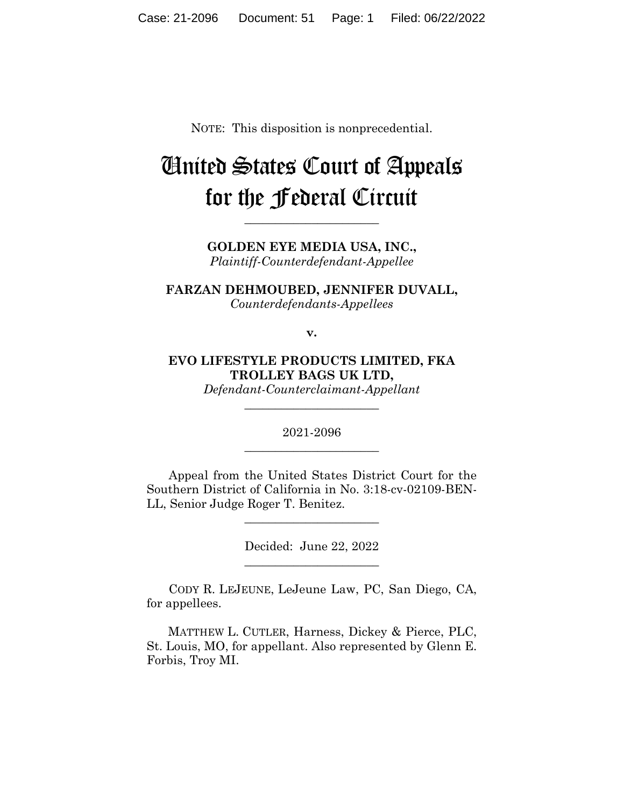NOTE: This disposition is nonprecedential.

# United States Court of Appeals for the Federal Circuit

**GOLDEN EYE MEDIA USA, INC.,** *Plaintiff-Counterdefendant-Appellee*

**\_\_\_\_\_\_\_\_\_\_\_\_\_\_\_\_\_\_\_\_\_\_** 

**FARZAN DEHMOUBED, JENNIFER DUVALL,** *Counterdefendants-Appellees*

**v.**

**EVO LIFESTYLE PRODUCTS LIMITED, FKA TROLLEY BAGS UK LTD,** *Defendant-Counterclaimant-Appellant*

> 2021-2096 **\_\_\_\_\_\_\_\_\_\_\_\_\_\_\_\_\_\_\_\_\_\_**

> **\_\_\_\_\_\_\_\_\_\_\_\_\_\_\_\_\_\_\_\_\_\_**

Appeal from the United States District Court for the Southern District of California in No. 3:18-cv-02109-BEN-LL, Senior Judge Roger T. Benitez.

 $\overline{\phantom{a}}$  , where  $\overline{\phantom{a}}$  , where  $\overline{\phantom{a}}$  , where  $\overline{\phantom{a}}$ 

Decided: June 22, 2022  $\overline{\phantom{a}}$  , where  $\overline{\phantom{a}}$  , where  $\overline{\phantom{a}}$  , where  $\overline{\phantom{a}}$ 

CODY R. LEJEUNE, LeJeune Law, PC, San Diego, CA, for appellees.

 MATTHEW L. CUTLER, Harness, Dickey & Pierce, PLC, St. Louis, MO, for appellant. Also represented by Glenn E. Forbis, Troy MI.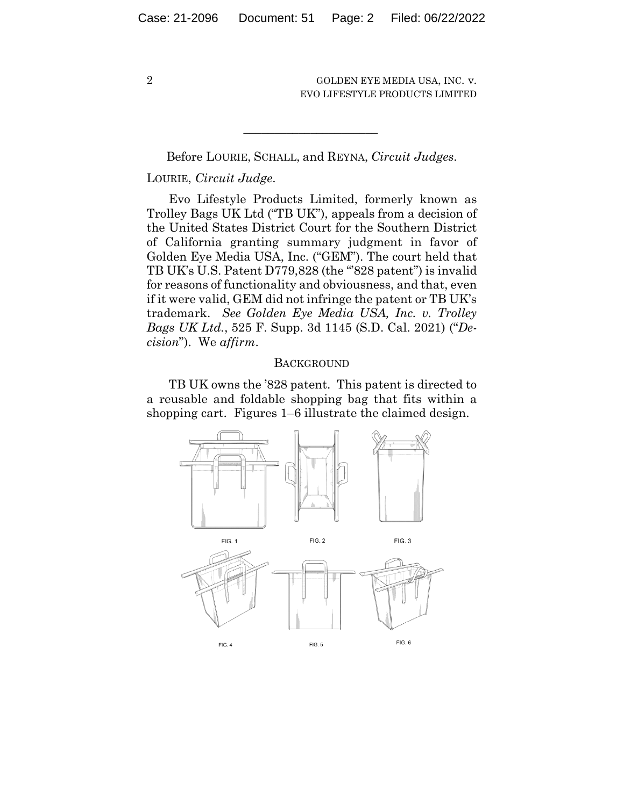Before LOURIE, SCHALL, and REYNA, *Circuit Judges*.

 $\mathcal{L}_\text{max}$  and  $\mathcal{L}_\text{max}$  and  $\mathcal{L}_\text{max}$  and  $\mathcal{L}_\text{max}$ 

# LOURIE, *Circuit Judge*.

Evo Lifestyle Products Limited, formerly known as Trolley Bags UK Ltd ("TB UK"), appeals from a decision of the United States District Court for the Southern District of California granting summary judgment in favor of Golden Eye Media USA, Inc. ("GEM"). The court held that TB UK's U.S. Patent D779,828 (the "828 patent") is invalid for reasons of functionality and obviousness, and that, even if it were valid, GEM did not infringe the patent or TB UK's trademark. *See Golden Eye Media USA, Inc. v. Trolley Bags UK Ltd.*, 525 F. Supp. 3d 1145 (S.D. Cal. 2021) ("*Decision*"). We *affirm*.

# **BACKGROUND**

TB UK owns the '828 patent. This patent is directed to a reusable and foldable shopping bag that fits within a shopping cart. Figures 1–6 illustrate the claimed design.

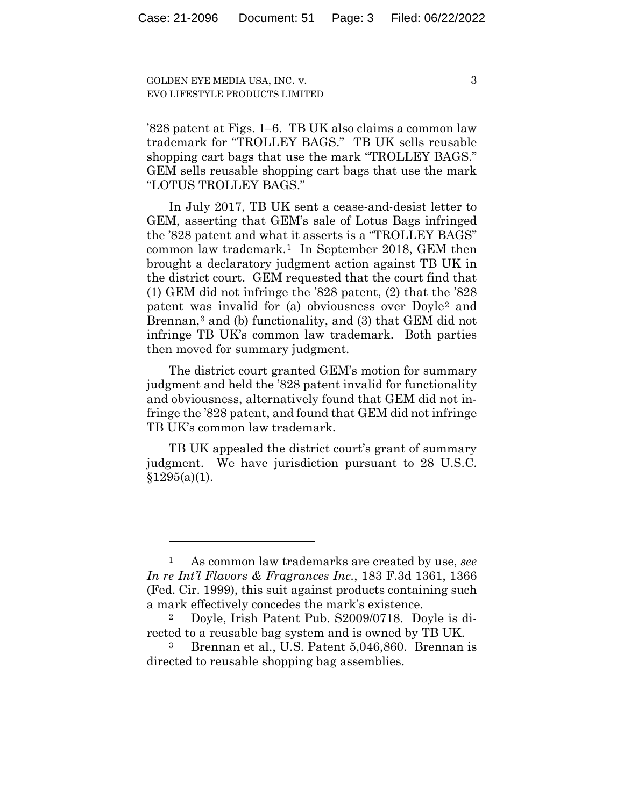3

'828 patent at Figs. 1–6. TB UK also claims a common law trademark for "TROLLEY BAGS." TB UK sells reusable shopping cart bags that use the mark "TROLLEY BAGS." GEM sells reusable shopping cart bags that use the mark "LOTUS TROLLEY BAGS."

In July 2017, TB UK sent a cease-and-desist letter to GEM, asserting that GEM's sale of Lotus Bags infringed the '828 patent and what it asserts is a "TROLLEY BAGS" common law trademark.1 In September 2018, GEM then brought a declaratory judgment action against TB UK in the district court. GEM requested that the court find that (1) GEM did not infringe the '828 patent, (2) that the '828 patent was invalid for (a) obviousness over Doyle2 and Brennan,<sup>3</sup> and (b) functionality, and (3) that GEM did not infringe TB UK's common law trademark. Both parties then moved for summary judgment.

The district court granted GEM's motion for summary judgment and held the '828 patent invalid for functionality and obviousness, alternatively found that GEM did not infringe the '828 patent, and found that GEM did not infringe TB UK's common law trademark.

TB UK appealed the district court's grant of summary judgment. We have jurisdiction pursuant to 28 U.S.C.  $§1295(a)(1)$ .

<sup>1</sup> As common law trademarks are created by use, *see In re Int'l Flavors & Fragrances Inc.*, 183 F.3d 1361, 1366 (Fed. Cir. 1999), this suit against products containing such a mark effectively concedes the mark's existence.

<sup>2</sup> Doyle, Irish Patent Pub. S2009/0718. Doyle is directed to a reusable bag system and is owned by TB UK.

<sup>3</sup> Brennan et al., U.S. Patent 5,046,860. Brennan is directed to reusable shopping bag assemblies.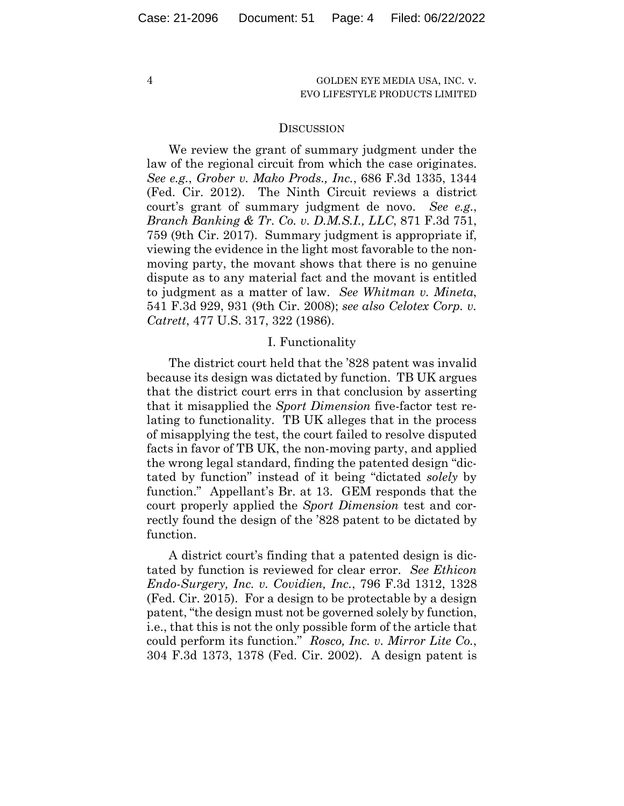#### **DISCUSSION**

We review the grant of summary judgment under the law of the regional circuit from which the case originates. *See e.g.*, *Grober v. Mako Prods., Inc.*, 686 F.3d 1335, 1344 (Fed. Cir. 2012). The Ninth Circuit reviews a district court's grant of summary judgment de novo. *See e.g.*, *Branch Banking & Tr. Co. v. D.M.S.I., LLC*, 871 F.3d 751, 759 (9th Cir. 2017). Summary judgment is appropriate if, viewing the evidence in the light most favorable to the nonmoving party, the movant shows that there is no genuine dispute as to any material fact and the movant is entitled to judgment as a matter of law. *See Whitman v. Mineta*, 541 F.3d 929, 931 (9th Cir. 2008); *see also Celotex Corp. v. Catrett*, 477 U.S. 317, 322 (1986).

### I. Functionality

The district court held that the '828 patent was invalid because its design was dictated by function. TB UK argues that the district court errs in that conclusion by asserting that it misapplied the *Sport Dimension* five-factor test relating to functionality. TB UK alleges that in the process of misapplying the test, the court failed to resolve disputed facts in favor of TB UK, the non-moving party, and applied the wrong legal standard, finding the patented design "dictated by function" instead of it being "dictated *solely* by function." Appellant's Br. at 13. GEM responds that the court properly applied the *Sport Dimension* test and correctly found the design of the '828 patent to be dictated by function.

A district court's finding that a patented design is dictated by function is reviewed for clear error. *See Ethicon Endo-Surgery, Inc. v. Covidien, Inc.*, 796 F.3d 1312, 1328 (Fed. Cir. 2015). For a design to be protectable by a design patent, "the design must not be governed solely by function, i.e., that this is not the only possible form of the article that could perform its function." *Rosco, Inc. v. Mirror Lite Co.*, 304 F.3d 1373, 1378 (Fed. Cir. 2002). A design patent is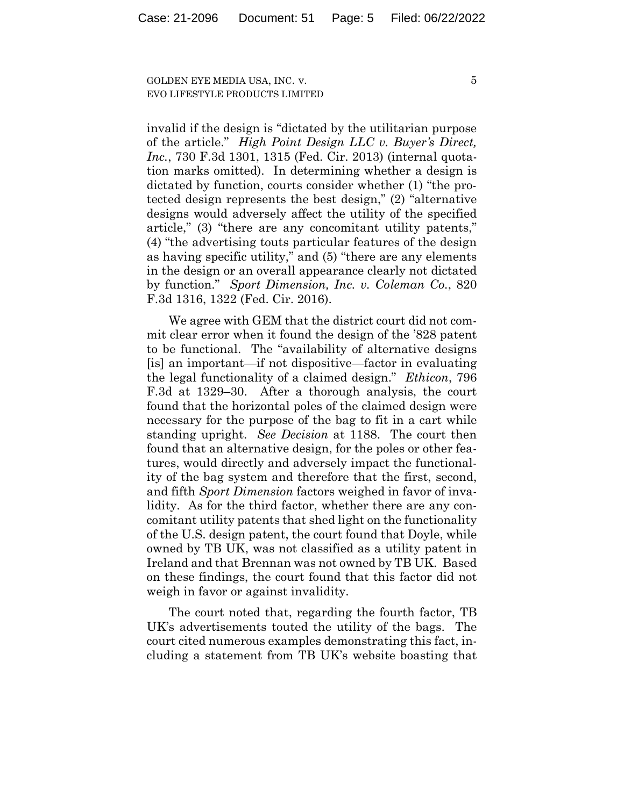invalid if the design is "dictated by the utilitarian purpose of the article." *High Point Design LLC v. Buyer's Direct, Inc.*, 730 F.3d 1301, 1315 (Fed. Cir. 2013) (internal quotation marks omitted). In determining whether a design is dictated by function, courts consider whether (1) "the protected design represents the best design," (2) "alternative designs would adversely affect the utility of the specified article," (3) "there are any concomitant utility patents," (4) "the advertising touts particular features of the design as having specific utility," and (5) "there are any elements in the design or an overall appearance clearly not dictated by function." *Sport Dimension, Inc. v. Coleman Co.*, 820 F.3d 1316, 1322 (Fed. Cir. 2016).

We agree with GEM that the district court did not commit clear error when it found the design of the '828 patent to be functional. The "availability of alternative designs [is] an important—if not dispositive—factor in evaluating the legal functionality of a claimed design." *Ethicon*, 796 F.3d at 1329–30. After a thorough analysis, the court found that the horizontal poles of the claimed design were necessary for the purpose of the bag to fit in a cart while standing upright. *See Decision* at 1188. The court then found that an alternative design, for the poles or other features, would directly and adversely impact the functionality of the bag system and therefore that the first, second, and fifth *Sport Dimension* factors weighed in favor of invalidity. As for the third factor, whether there are any concomitant utility patents that shed light on the functionality of the U.S. design patent, the court found that Doyle, while owned by TB UK, was not classified as a utility patent in Ireland and that Brennan was not owned by TB UK. Based on these findings, the court found that this factor did not weigh in favor or against invalidity.

The court noted that, regarding the fourth factor, TB UK's advertisements touted the utility of the bags. The court cited numerous examples demonstrating this fact, including a statement from TB UK's website boasting that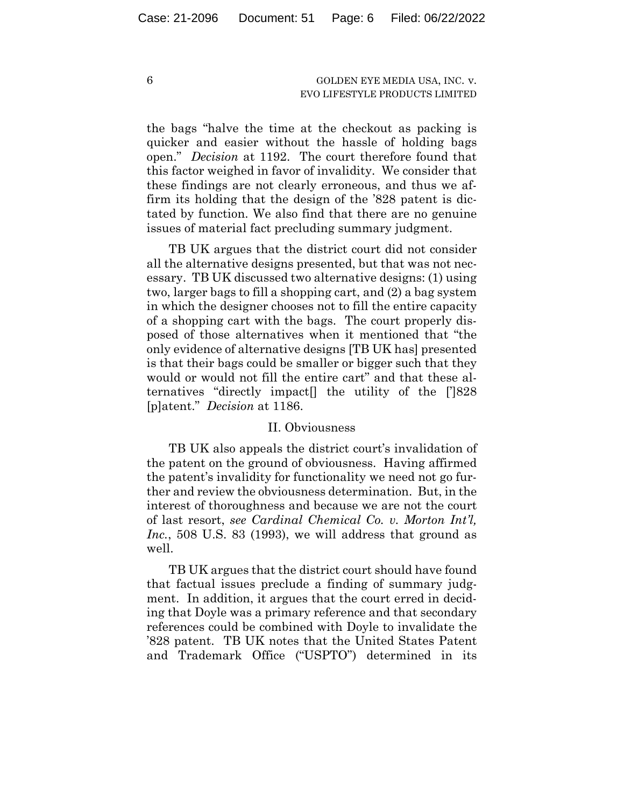the bags "halve the time at the checkout as packing is quicker and easier without the hassle of holding bags open." *Decision* at 1192. The court therefore found that this factor weighed in favor of invalidity. We consider that these findings are not clearly erroneous, and thus we affirm its holding that the design of the '828 patent is dictated by function. We also find that there are no genuine issues of material fact precluding summary judgment.

TB UK argues that the district court did not consider all the alternative designs presented, but that was not necessary. TB UK discussed two alternative designs: (1) using two, larger bags to fill a shopping cart, and (2) a bag system in which the designer chooses not to fill the entire capacity of a shopping cart with the bags. The court properly disposed of those alternatives when it mentioned that "the only evidence of alternative designs [TB UK has] presented is that their bags could be smaller or bigger such that they would or would not fill the entire cart" and that these alternatives "directly impact[] the utility of the [']828 [p]atent." *Decision* at 1186.

#### II. Obviousness

TB UK also appeals the district court's invalidation of the patent on the ground of obviousness. Having affirmed the patent's invalidity for functionality we need not go further and review the obviousness determination. But, in the interest of thoroughness and because we are not the court of last resort, *see Cardinal Chemical Co. v. Morton Int'l, Inc.*, 508 U.S. 83 (1993), we will address that ground as well.

TB UK argues that the district court should have found that factual issues preclude a finding of summary judgment. In addition, it argues that the court erred in deciding that Doyle was a primary reference and that secondary references could be combined with Doyle to invalidate the '828 patent. TB UK notes that the United States Patent and Trademark Office ("USPTO") determined in its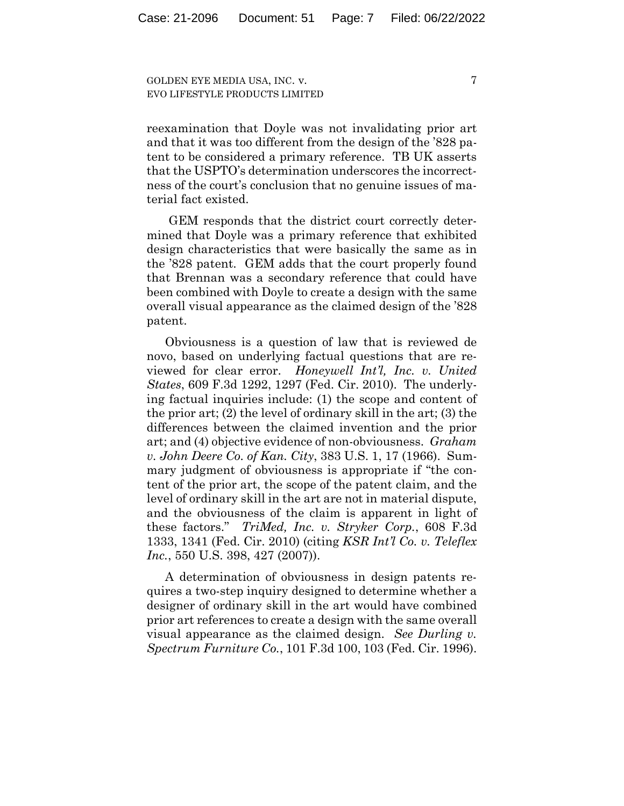reexamination that Doyle was not invalidating prior art and that it was too different from the design of the '828 patent to be considered a primary reference. TB UK asserts that the USPTO's determination underscores the incorrectness of the court's conclusion that no genuine issues of material fact existed.

GEM responds that the district court correctly determined that Doyle was a primary reference that exhibited design characteristics that were basically the same as in the '828 patent. GEM adds that the court properly found that Brennan was a secondary reference that could have been combined with Doyle to create a design with the same overall visual appearance as the claimed design of the '828 patent.

Obviousness is a question of law that is reviewed de novo, based on underlying factual questions that are reviewed for clear error. *Honeywell Int'l, Inc. v. United States*, 609 F.3d 1292, 1297 (Fed. Cir. 2010). The underlying factual inquiries include: (1) the scope and content of the prior art; (2) the level of ordinary skill in the art; (3) the differences between the claimed invention and the prior art; and (4) objective evidence of non-obviousness. *Graham v. John Deere Co. of Kan. City*, 383 U.S. 1, 17 (1966). Summary judgment of obviousness is appropriate if "the content of the prior art, the scope of the patent claim, and the level of ordinary skill in the art are not in material dispute, and the obviousness of the claim is apparent in light of these factors." *TriMed, Inc. v. Stryker Corp.*, 608 F.3d 1333, 1341 (Fed. Cir. 2010) (citing *KSR Int'l Co. v. Teleflex Inc.*, 550 U.S. 398, 427 (2007)).

A determination of obviousness in design patents requires a two-step inquiry designed to determine whether a designer of ordinary skill in the art would have combined prior art references to create a design with the same overall visual appearance as the claimed design. *See Durling v. Spectrum Furniture Co.*, 101 F.3d 100, 103 (Fed. Cir. 1996).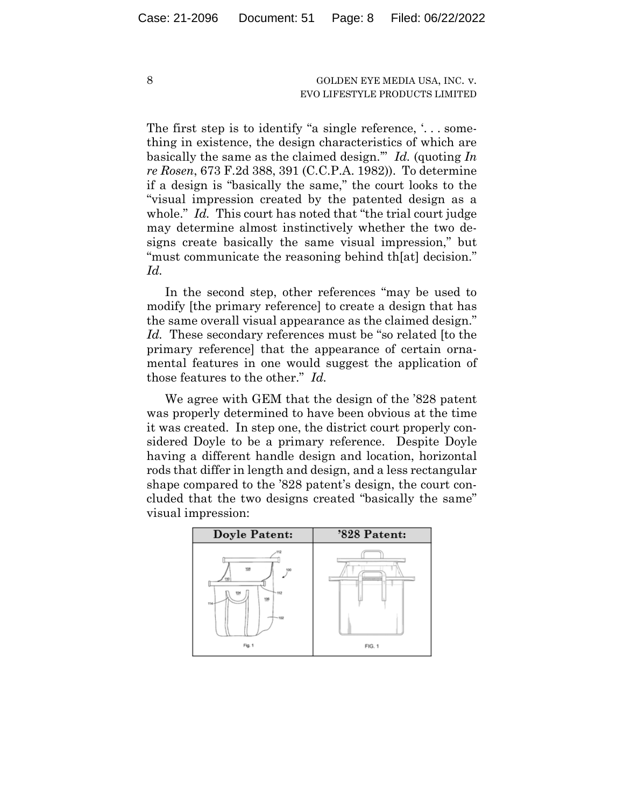The first step is to identify "a single reference, '... something in existence, the design characteristics of which are basically the same as the claimed design.'" *Id.* (quoting *In re Rosen*, 673 F.2d 388, 391 (C.C.P.A. 1982)). To determine if a design is "basically the same," the court looks to the "visual impression created by the patented design as a whole." *Id.* This court has noted that "the trial court judge may determine almost instinctively whether the two designs create basically the same visual impression," but "must communicate the reasoning behind th[at] decision." *Id.*

In the second step, other references "may be used to modify [the primary reference] to create a design that has the same overall visual appearance as the claimed design." *Id.* These secondary references must be "so related [to the primary reference] that the appearance of certain ornamental features in one would suggest the application of those features to the other." *Id.*

We agree with GEM that the design of the '828 patent was properly determined to have been obvious at the time it was created. In step one, the district court properly considered Doyle to be a primary reference. Despite Doyle having a different handle design and location, horizontal rods that differ in length and design, and a less rectangular shape compared to the '828 patent's design, the court concluded that the two designs created "basically the same" visual impression:

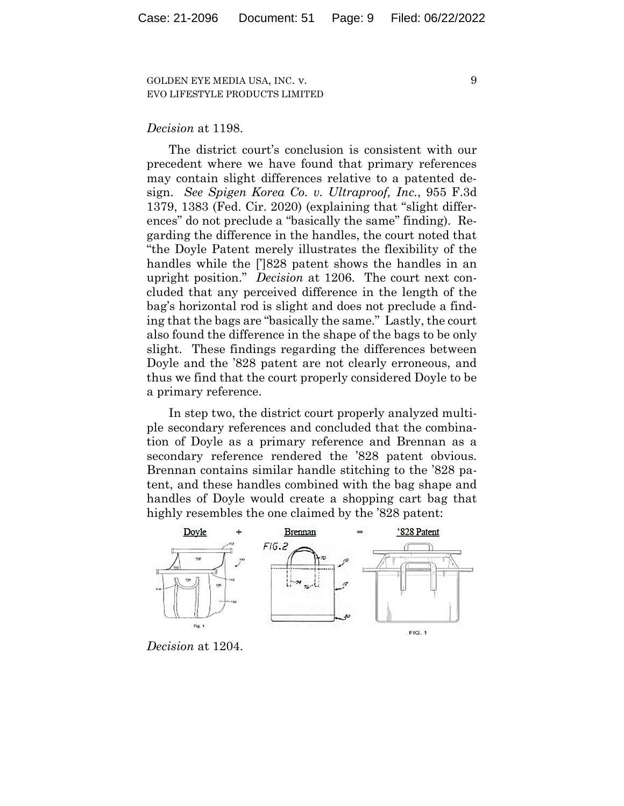*Decision* at 1198.

The district court's conclusion is consistent with our precedent where we have found that primary references may contain slight differences relative to a patented design. *See Spigen Korea Co. v. Ultraproof, Inc.*, 955 F.3d 1379, 1383 (Fed. Cir. 2020) (explaining that "slight differences" do not preclude a "basically the same" finding). Regarding the difference in the handles, the court noted that "the Doyle Patent merely illustrates the flexibility of the handles while the [']828 patent shows the handles in an upright position." *Decision* at 1206. The court next concluded that any perceived difference in the length of the bag's horizontal rod is slight and does not preclude a finding that the bags are "basically the same." Lastly, the court also found the difference in the shape of the bags to be only slight. These findings regarding the differences between Doyle and the '828 patent are not clearly erroneous, and thus we find that the court properly considered Doyle to be a primary reference.

In step two, the district court properly analyzed multiple secondary references and concluded that the combination of Doyle as a primary reference and Brennan as a secondary reference rendered the '828 patent obvious. Brennan contains similar handle stitching to the '828 patent, and these handles combined with the bag shape and handles of Doyle would create a shopping cart bag that highly resembles the one claimed by the '828 patent:



*Decision* at 1204.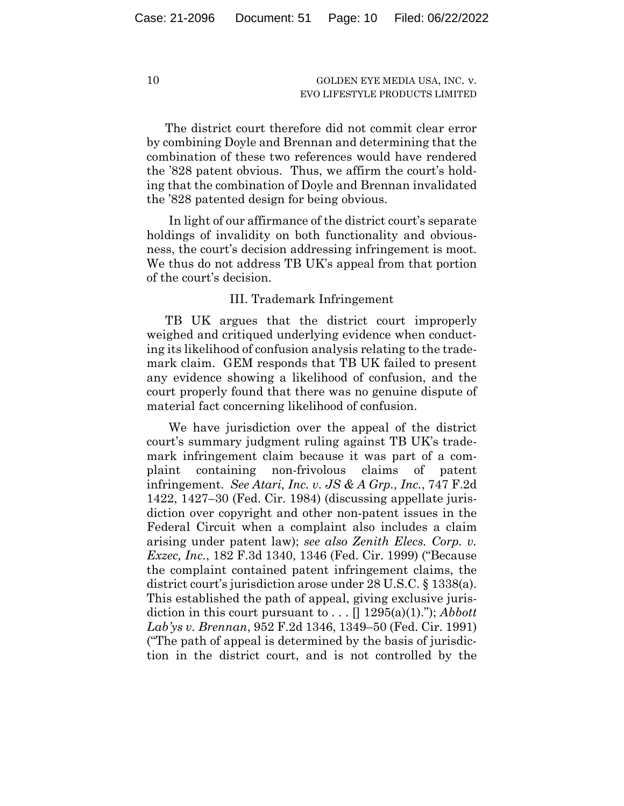The district court therefore did not commit clear error by combining Doyle and Brennan and determining that the combination of these two references would have rendered the '828 patent obvious. Thus, we affirm the court's holding that the combination of Doyle and Brennan invalidated the '828 patented design for being obvious.

In light of our affirmance of the district court's separate holdings of invalidity on both functionality and obviousness, the court's decision addressing infringement is moot. We thus do not address TB UK's appeal from that portion of the court's decision.

# III. Trademark Infringement

TB UK argues that the district court improperly weighed and critiqued underlying evidence when conducting its likelihood of confusion analysis relating to the trademark claim. GEM responds that TB UK failed to present any evidence showing a likelihood of confusion, and the court properly found that there was no genuine dispute of material fact concerning likelihood of confusion.

We have jurisdiction over the appeal of the district court's summary judgment ruling against TB UK's trademark infringement claim because it was part of a complaint containing non-frivolous claims of patent infringement. *See Atari, Inc. v. JS & A Grp., Inc.*, 747 F.2d 1422, 1427–30 (Fed. Cir. 1984) (discussing appellate jurisdiction over copyright and other non-patent issues in the Federal Circuit when a complaint also includes a claim arising under patent law); *see also Zenith Elecs. Corp. v. Exzec, Inc.*, 182 F.3d 1340, 1346 (Fed. Cir. 1999) ("Because the complaint contained patent infringement claims, the district court's jurisdiction arose under 28 U.S.C. § 1338(a). This established the path of appeal, giving exclusive jurisdiction in this court pursuant to  $\dots$   $\lceil \frac{1295(a)(1)}{n} \rceil$ ; *Abbott Lab'ys v. Brennan*, 952 F.2d 1346, 1349–50 (Fed. Cir. 1991) ("The path of appeal is determined by the basis of jurisdiction in the district court, and is not controlled by the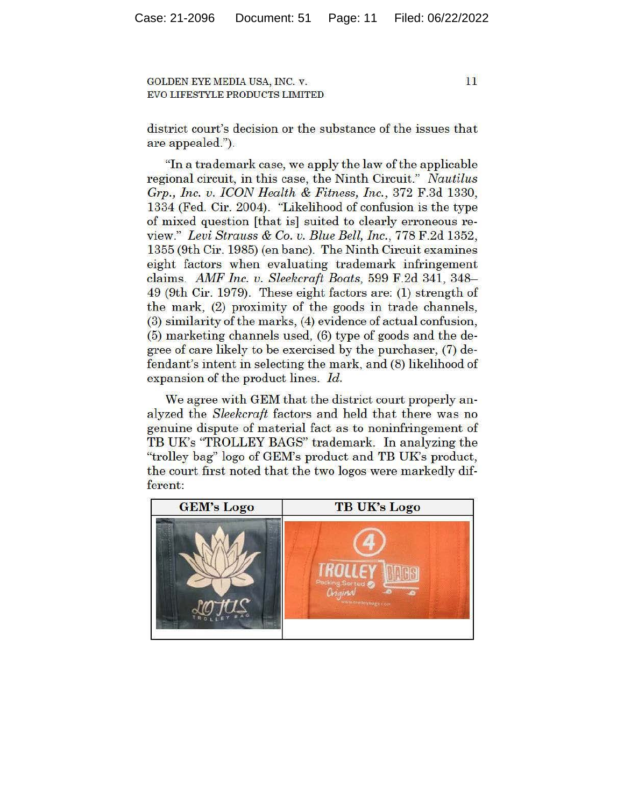11

district court's decision or the substance of the issues that are appealed.").

"In a trademark case, we apply the law of the applicable regional circuit, in this case, the Ninth Circuit." *Nautilus Grp., Inc. v. ICON Health* & *Fitness, Inc. ,* 372 F.3d 1330, 1334 (Fed. Cir. 2004). "Likelihood of confusion is the type of mixed question [that is] suited to clearly erroneous review." *Levi Strauss* & *Co. v. Blue Bell, Inc.,* 778 F.2d 1352, 1355 (9th Cir. 1985) (en bane). The Ninth Circuit examines eight factors when evaluating trademark infringement claims. *AMF Inc. v. Sleekcraft Boats,* 599 F.2d 341, 348- 49 (9th Cir. 1979). These eight factors are: (1) strength of the mark, (2) proximity of the goods in trade channels, (3) similarity of the marks, (4) evidence of actual confusion, (5) marketing channels used, (6) type of goods and the degree of care likely to be exercised by the purchaser, (7) defendant's intent in selecting the mark, and (8) likelihood of expansion of the product lines. *Id.* 

We agree with GEM that the district court properly analyzed the *Sleekcraft* factors and held that there was no genuine dispute of material fact as to noninfringement of TB UK's "TROLLEY BAGS" trademark. In analyzing the "trolley bag" logo of GEM's product and TB UK's product, the court first noted that the two logos were markedly different: